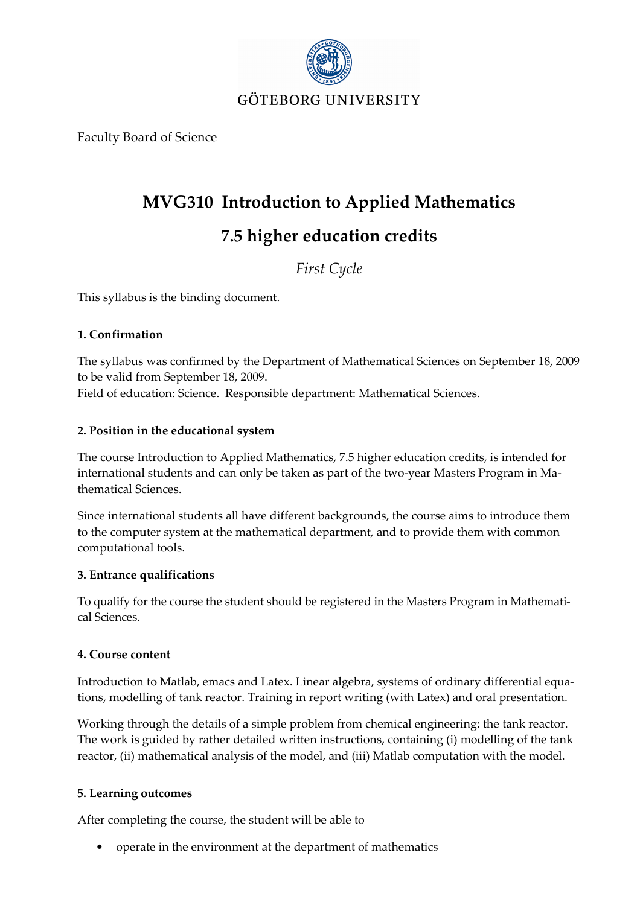

Faculty Board of Science

# MVG310 Introduction to Applied Mathematics

# 7.5 higher education credits

First Cycle

This syllabus is the binding document.

#### 1. Confirmation

The syllabus was confirmed by the Department of Mathematical Sciences on September 18, 2009 to be valid from September 18, 2009. Field of education: Science. Responsible department: Mathematical Sciences.

#### 2. Position in the educational system

The course Introduction to Applied Mathematics, 7.5 higher education credits, is intended for international students and can only be taken as part of the two-year Masters Program in Mathematical Sciences.

Since international students all have different backgrounds, the course aims to introduce them to the computer system at the mathematical department, and to provide them with common computational tools.

#### 3. Entrance qualifications

To qualify for the course the student should be registered in the Masters Program in Mathematical Sciences.

#### 4. Course content

Introduction to Matlab, emacs and Latex. Linear algebra, systems of ordinary differential equations, modelling of tank reactor. Training in report writing (with Latex) and oral presentation.

Working through the details of a simple problem from chemical engineering: the tank reactor. The work is guided by rather detailed written instructions, containing (i) modelling of the tank reactor, (ii) mathematical analysis of the model, and (iii) Matlab computation with the model.

#### 5. Learning outcomes

After completing the course, the student will be able to

• operate in the environment at the department of mathematics